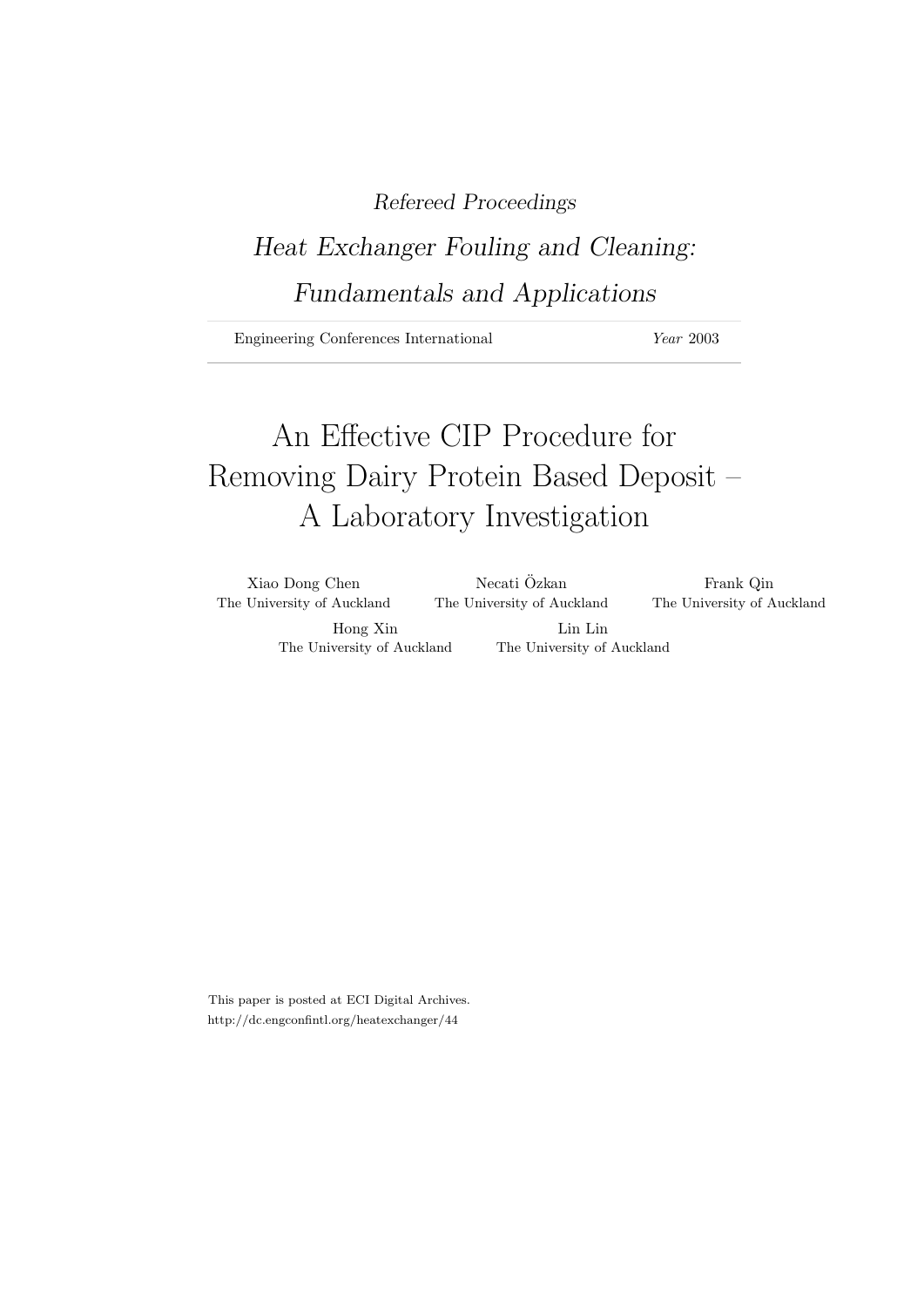# Refereed Proceedings

# Heat Exchanger Fouling and Cleaning: Fundamentals and Applications

Engineering Conferences International Year 2003

# An Effective CIP Procedure for Removing Dairy Protein Based Deposit – A Laboratory Investigation

| Xiao Dong Chen             | Necati Ozkan               | Frank Qin                  |
|----------------------------|----------------------------|----------------------------|
| The University of Auckland | The University of Auckland | The University of Auckland |
| Hong Xin                   | Lin Lin                    |                            |
| The University of Auckland | The University of Auckland |                            |

This paper is posted at ECI Digital Archives. http://dc.engconfintl.org/heatexchanger/44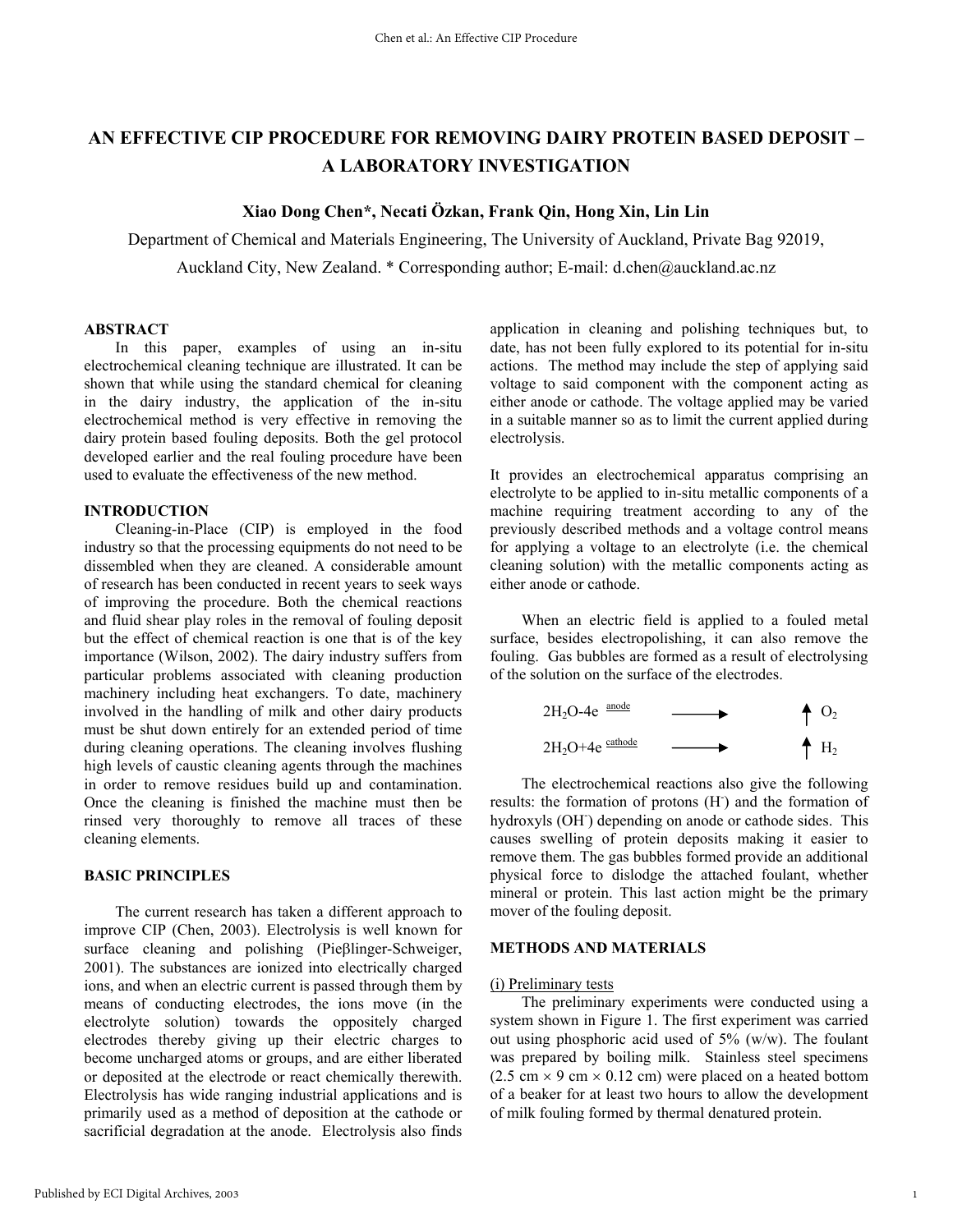# **AN EFFECTIVE CIP PROCEDURE FOR REMOVING DAIRY PROTEIN BASED DEPOSIT – A LABORATORY INVESTIGATION**

# **Xiao Dong Chen\*, Necati Özkan, Frank Qin, Hong Xin, Lin Lin**

Department of Chemical and Materials Engineering, The University of Auckland, Private Bag 92019, Auckland City, New Zealand. \* Corresponding author; E-mail: d.chen@auckland.ac.nz

# **ABSTRACT**

 In this paper, examples of using an in-situ electrochemical cleaning technique are illustrated. It can be shown that while using the standard chemical for cleaning in the dairy industry, the application of the in-situ electrochemical method is very effective in removing the dairy protein based fouling deposits. Both the gel protocol developed earlier and the real fouling procedure have been used to evaluate the effectiveness of the new method.

# **INTRODUCTION**

 Cleaning-in-Place (CIP) is employed in the food industry so that the processing equipments do not need to be dissembled when they are cleaned. A considerable amount of research has been conducted in recent years to seek ways of improving the procedure. Both the chemical reactions and fluid shear play roles in the removal of fouling deposit but the effect of chemical reaction is one that is of the key importance (Wilson, 2002). The dairy industry suffers from particular problems associated with cleaning production machinery including heat exchangers. To date, machinery involved in the handling of milk and other dairy products must be shut down entirely for an extended period of time during cleaning operations. The cleaning involves flushing high levels of caustic cleaning agents through the machines in order to remove residues build up and contamination. Once the cleaning is finished the machine must then be rinsed very thoroughly to remove all traces of these cleaning elements.

# **BASIC PRINCIPLES**

 The current research has taken a different approach to improve CIP (Chen, 2003). Electrolysis is well known for surface cleaning and polishing (Pieβlinger-Schweiger, 2001). The substances are ionized into electrically charged ions, and when an electric current is passed through them by means of conducting electrodes, the ions move (in the electrolyte solution) towards the oppositely charged electrodes thereby giving up their electric charges to become uncharged atoms or groups, and are either liberated or deposited at the electrode or react chemically therewith. Electrolysis has wide ranging industrial applications and is primarily used as a method of deposition at the cathode or sacrificial degradation at the anode. Electrolysis also finds

application in cleaning and polishing techniques but, to date, has not been fully explored to its potential for in-situ actions. The method may include the step of applying said voltage to said component with the component acting as either anode or cathode. The voltage applied may be varied in a suitable manner so as to limit the current applied during electrolysis.

It provides an electrochemical apparatus comprising an electrolyte to be applied to in-situ metallic components of a machine requiring treatment according to any of the previously described methods and a voltage control means for applying a voltage to an electrolyte (i.e. the chemical cleaning solution) with the metallic components acting as either anode or cathode.

 When an electric field is applied to a fouled metal surface, besides electropolishing, it can also remove the fouling. Gas bubbles are formed as a result of electrolysing of the solution on the surface of the electrodes.

$$
2H_2O-4e \xrightarrow{\text{anode}} \qquad \longrightarrow \qquad \qquad \uparrow O_2
$$
\n
$$
2H_2O+4e \xrightarrow{\text{cathode}} \qquad \longrightarrow \qquad \qquad \uparrow H_2
$$

 The electrochemical reactions also give the following results: the formation of protons (H) and the formation of hydroxyls (OH) depending on anode or cathode sides. This causes swelling of protein deposits making it easier to remove them. The gas bubbles formed provide an additional physical force to dislodge the attached foulant, whether mineral or protein. This last action might be the primary mover of the fouling deposit.

# **METHODS AND MATERIALS**

#### (i) Preliminary tests

 The preliminary experiments were conducted using a system shown in Figure 1. The first experiment was carried out using phosphoric acid used of 5% (w/w). The foulant was prepared by boiling milk. Stainless steel specimens  $(2.5 \text{ cm} \times 9 \text{ cm} \times 0.12 \text{ cm})$  were placed on a heated bottom of a beaker for at least two hours to allow the development of milk fouling formed by thermal denatured protein.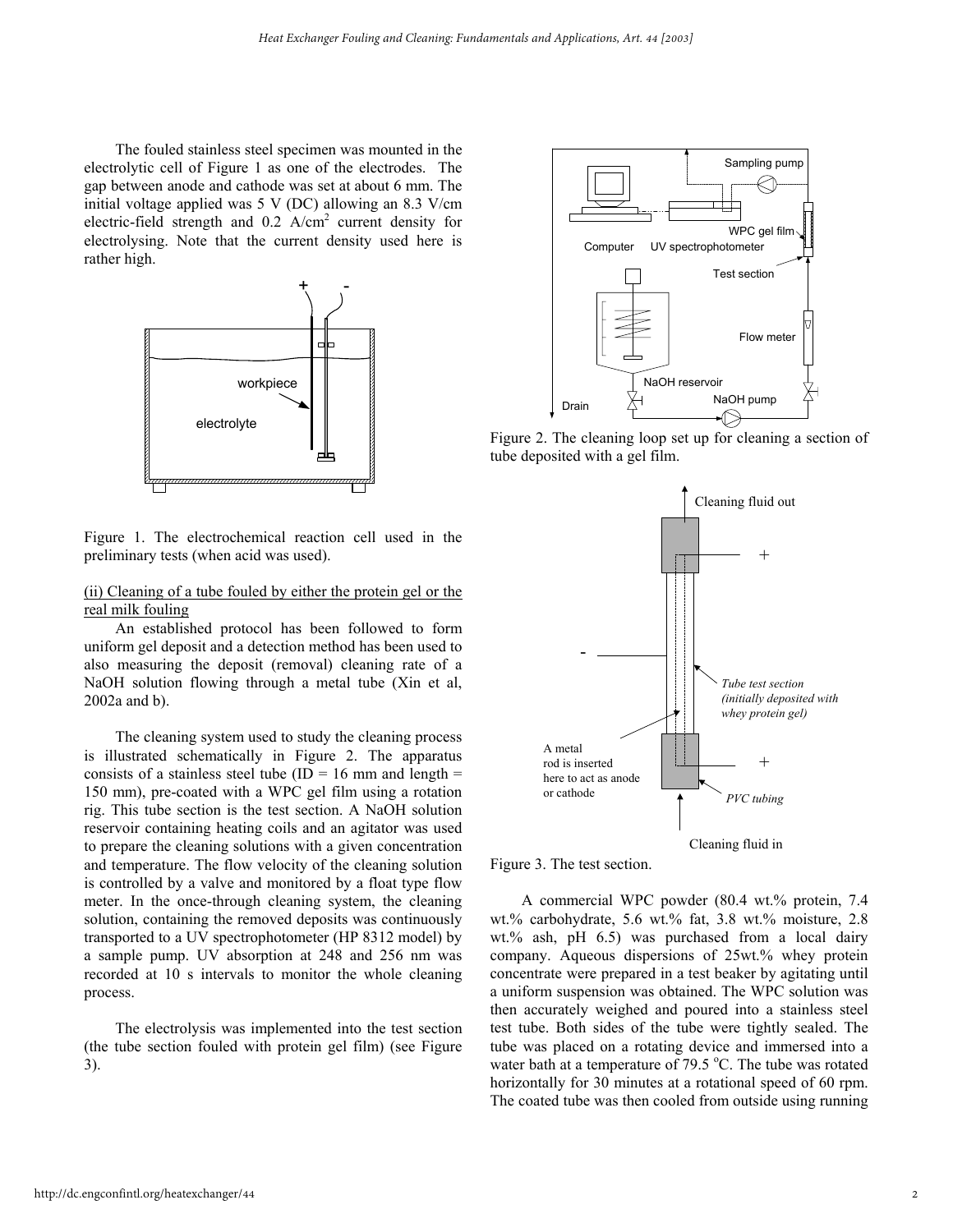The fouled stainless steel specimen was mounted in the electrolytic cell of Figure 1 as one of the electrodes. The gap between anode and cathode was set at about 6 mm. The initial voltage applied was 5 V (DC) allowing an 8.3 V/cm electric-field strength and 0.2 A/cm<sup>2</sup> current density for electrolysing. Note that the current density used here is rather high.



Figure 1. The electrochemical reaction cell used in the preliminary tests (when acid was used).

# (ii) Cleaning of a tube fouled by either the protein gel or the real milk fouling

 An established protocol has been followed to form uniform gel deposit and a detection method has been used to also measuring the deposit (removal) cleaning rate of a NaOH solution flowing through a metal tube (Xin et al, 2002a and b).

 The cleaning system used to study the cleaning process is illustrated schematically in Figure 2. The apparatus consists of a stainless steel tube (ID = 16 mm and length = 150 mm), pre-coated with a WPC gel film using a rotation rig. This tube section is the test section. A NaOH solution reservoir containing heating coils and an agitator was used to prepare the cleaning solutions with a given concentration and temperature. The flow velocity of the cleaning solution is controlled by a valve and monitored by a float type flow meter. In the once-through cleaning system, the cleaning solution, containing the removed deposits was continuously transported to a UV spectrophotometer (HP 8312 model) by a sample pump. UV absorption at 248 and 256 nm was recorded at 10 s intervals to monitor the whole cleaning process.

 The electrolysis was implemented into the test section (the tube section fouled with protein gel film) (see Figure 3).



Figure 2. The cleaning loop set up for cleaning a section of tube deposited with a gel film.





 A commercial WPC powder (80.4 wt.% protein, 7.4 wt.% carbohydrate, 5.6 wt.% fat, 3.8 wt.% moisture, 2.8 wt.% ash, pH 6.5) was purchased from a local dairy company. Aqueous dispersions of 25wt.% whey protein concentrate were prepared in a test beaker by agitating until a uniform suspension was obtained. The WPC solution was then accurately weighed and poured into a stainless steel test tube. Both sides of the tube were tightly sealed. The tube was placed on a rotating device and immersed into a water bath at a temperature of  $79.5$  °C. The tube was rotated horizontally for 30 minutes at a rotational speed of 60 rpm. The coated tube was then cooled from outside using running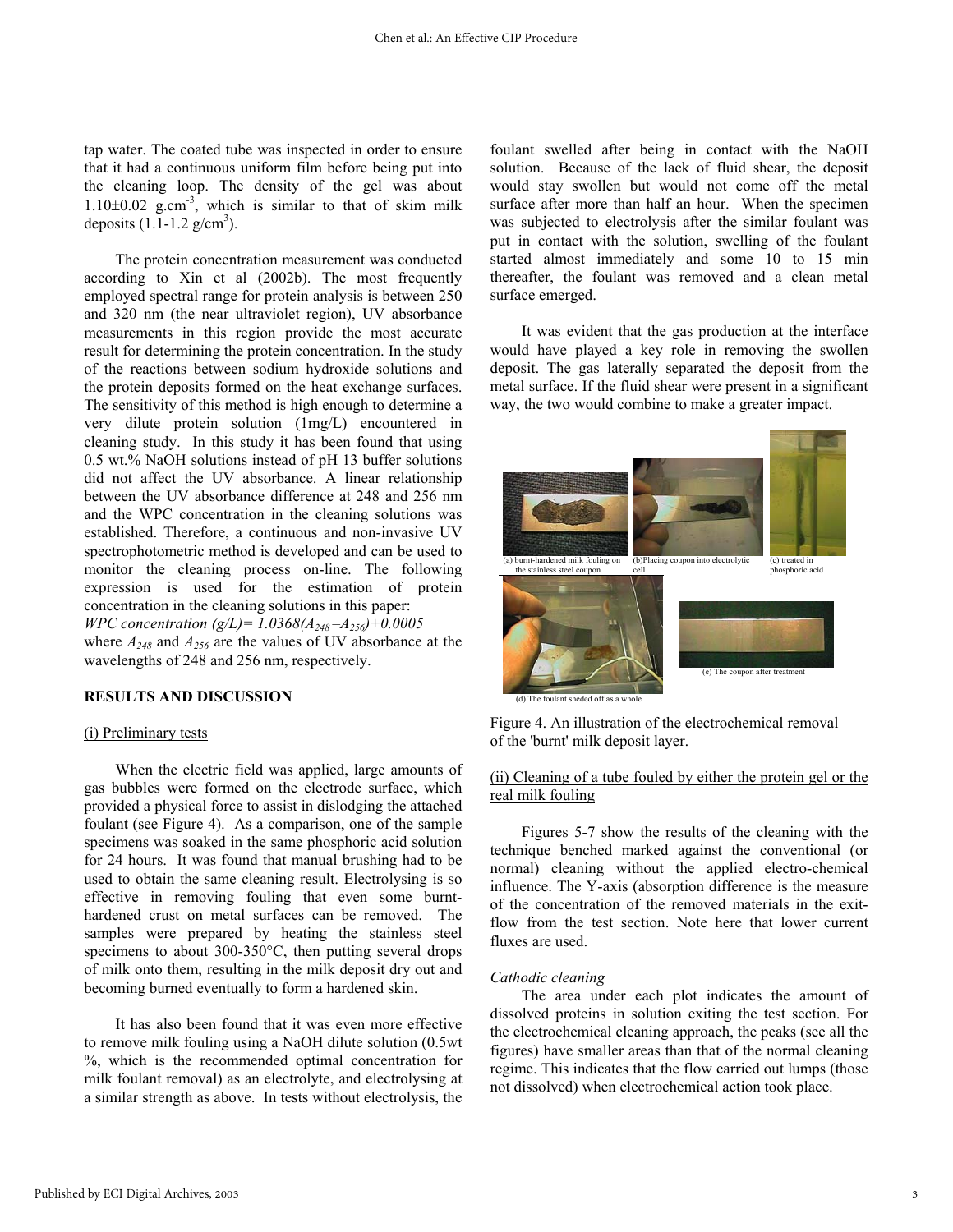tap water. The coated tube was inspected in order to ensure that it had a continuous uniform film before being put into the cleaning loop. The density of the gel was about 1.10 $\pm$ 0.02 g.cm<sup>-3</sup>, which is similar to that of skim milk deposits  $(1.1-1.2 \text{ g/cm}^3)$ .

 The protein concentration measurement was conducted according to Xin et al (2002b). The most frequently employed spectral range for protein analysis is between 250 and 320 nm (the near ultraviolet region), UV absorbance measurements in this region provide the most accurate result for determining the protein concentration. In the study of the reactions between sodium hydroxide solutions and the protein deposits formed on the heat exchange surfaces. The sensitivity of this method is high enough to determine a very dilute protein solution (1mg/L) encountered in cleaning study. In this study it has been found that using 0.5 wt.% NaOH solutions instead of pH 13 buffer solutions did not affect the UV absorbance. A linear relationship between the UV absorbance difference at 248 and 256 nm and the WPC concentration in the cleaning solutions was established. Therefore, a continuous and non-invasive UV spectrophotometric method is developed and can be used to monitor the cleaning process on-line. The following expression is used for the estimation of protein concentration in the cleaning solutions in this paper: *WPC concentration (g/L)= 1.0368(A248 –A256)+0.0005* where  $A_{248}$  and  $A_{256}$  are the values of UV absorbance at the wavelengths of 248 and 256 nm, respectively.

# **RESULTS AND DISCUSSION**

### (i) Preliminary tests

 When the electric field was applied, large amounts of gas bubbles were formed on the electrode surface, which provided a physical force to assist in dislodging the attached foulant (see Figure 4). As a comparison, one of the sample specimens was soaked in the same phosphoric acid solution for 24 hours. It was found that manual brushing had to be used to obtain the same cleaning result. Electrolysing is so effective in removing fouling that even some burnthardened crust on metal surfaces can be removed. The samples were prepared by heating the stainless steel specimens to about 300-350°C, then putting several drops of milk onto them, resulting in the milk deposit dry out and becoming burned eventually to form a hardened skin.

 It has also been found that it was even more effective to remove milk fouling using a NaOH dilute solution (0.5wt %, which is the recommended optimal concentration for milk foulant removal) as an electrolyte, and electrolysing at a similar strength as above. In tests without electrolysis, the foulant swelled after being in contact with the NaOH solution. Because of the lack of fluid shear, the deposit would stay swollen but would not come off the metal surface after more than half an hour. When the specimen was subjected to electrolysis after the similar foulant was put in contact with the solution, swelling of the foulant started almost immediately and some 10 to 15 min thereafter, the foulant was removed and a clean metal surface emerged.

 It was evident that the gas production at the interface would have played a key role in removing the swollen deposit. The gas laterally separated the deposit from the metal surface. If the fluid shear were present in a significant way, the two would combine to make a greater impact.



Figure 4. An illustration of the electrochemical removal of the 'burnt' milk deposit layer.

# (ii) Cleaning of a tube fouled by either the protein gel or the real milk fouling

 Figures 5-7 show the results of the cleaning with the technique benched marked against the conventional (or normal) cleaning without the applied electro-chemical influence. The Y-axis (absorption difference is the measure of the concentration of the removed materials in the exitflow from the test section. Note here that lower current fluxes are used.

## *Cathodic cleaning*

 The area under each plot indicates the amount of dissolved proteins in solution exiting the test section. For the electrochemical cleaning approach, the peaks (see all the figures) have smaller areas than that of the normal cleaning regime. This indicates that the flow carried out lumps (those not dissolved) when electrochemical action took place.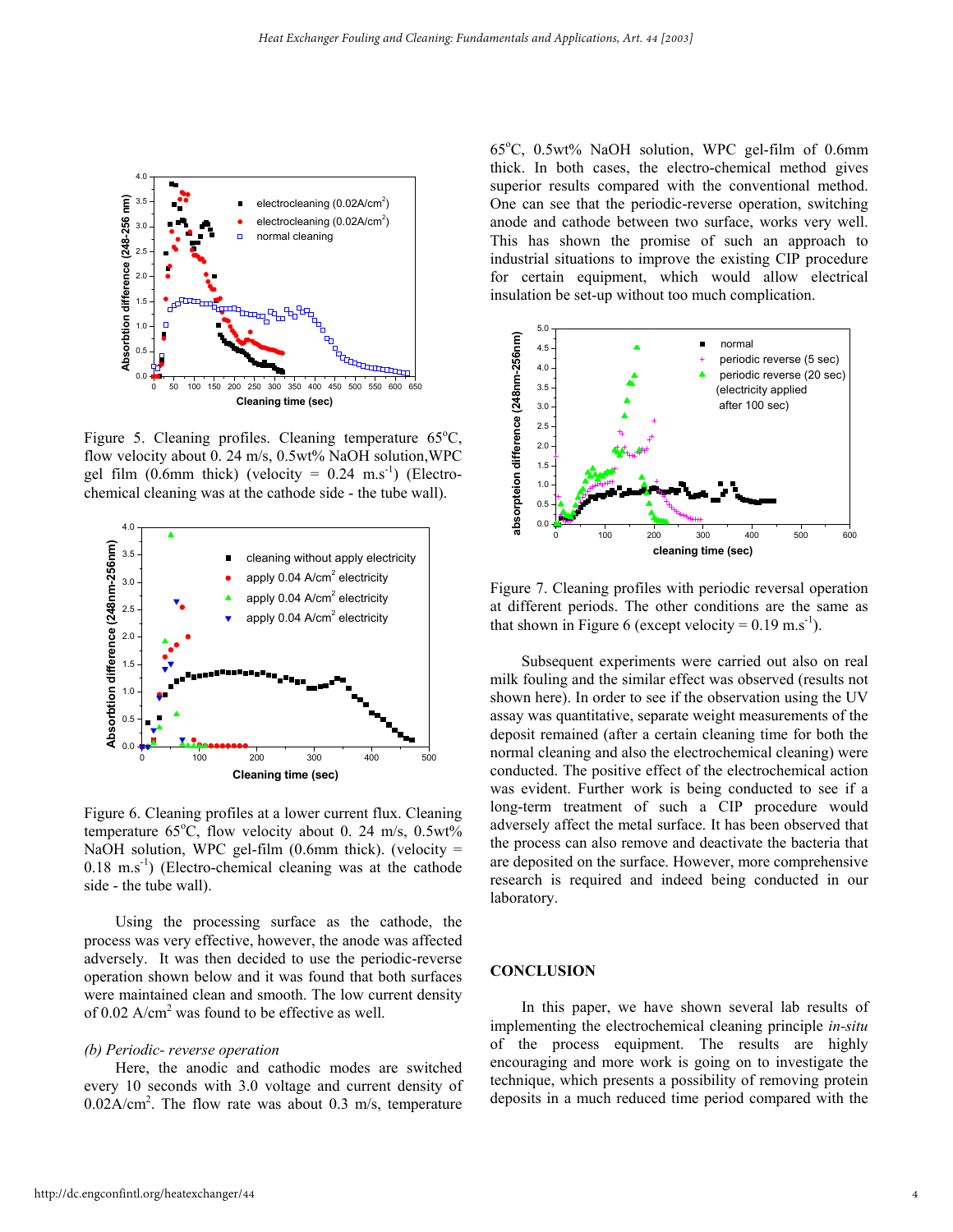

Figure 5. Cleaning profiles. Cleaning temperature  $65^{\circ}$ C, flow velocity about 0. 24 m/s, 0.5wt% NaOH solution, WPC gel film (0.6mm thick) (velocity =  $0.24 \text{ m.s}^{-1}$ ) (Electrochemical cleaning was at the cathode side - the tube wall).



Figure 6. Cleaning profiles at a lower current flux. Cleaning temperature  $65^{\circ}$ C, flow velocity about 0. 24 m/s, 0.5wt% NaOH solution, WPC gel-film  $(0.6$ mm thick). (velocity =  $0.18$  m.s<sup>-1</sup>) (Electro-chemical cleaning was at the cathode side - the tube wall).

 Using the processing surface as the cathode, the process was very effective, however, the anode was affected adversely. It was then decided to use the periodic-reverse operation shown below and it was found that both surfaces were maintained clean and smooth. The low current density of 0.02  $A/cm<sup>2</sup>$  was found to be effective as well.

## *(b) Periodic- reverse operation*

 Here, the anodic and cathodic modes are switched every 10 seconds with 3.0 voltage and current density of  $0.02$ A/cm<sup>2</sup>. The flow rate was about 0.3 m/s, temperature

65°C, 0.5wt% NaOH solution, WPC gel-film of 0.6mm thick. In both cases, the electro-chemical method gives superior results compared with the conventional method. One can see that the periodic-reverse operation, switching anode and cathode between two surface, works very well. This has shown the promise of such an approach to industrial situations to improve the existing CIP procedure for certain equipment, which would allow electrical insulation be set-up without too much complication.



Figure 7. Cleaning profiles with periodic reversal operation at different periods. The other conditions are the same as that shown in Figure 6 (except velocity =  $0.19$  m.s<sup>-1</sup>).

 Subsequent experiments were carried out also on real milk fouling and the similar effect was observed (results not shown here). In order to see if the observation using the UV assay was quantitative, separate weight measurements of the deposit remained (after a certain cleaning time for both the normal cleaning and also the electrochemical cleaning) were conducted. The positive effect of the electrochemical action was evident. Further work is being conducted to see if a long-term treatment of such a CIP procedure would adversely affect the metal surface. It has been observed that the process can also remove and deactivate the bacteria that are deposited on the surface. However, more comprehensive research is required and indeed being conducted in our laboratory.

# **CONCLUSION**

 In this paper, we have shown several lab results of implementing the electrochemical cleaning principle *in-situ* of the process equipment. The results are highly encouraging and more work is going on to investigate the technique, which presents a possibility of removing protein deposits in a much reduced time period compared with the